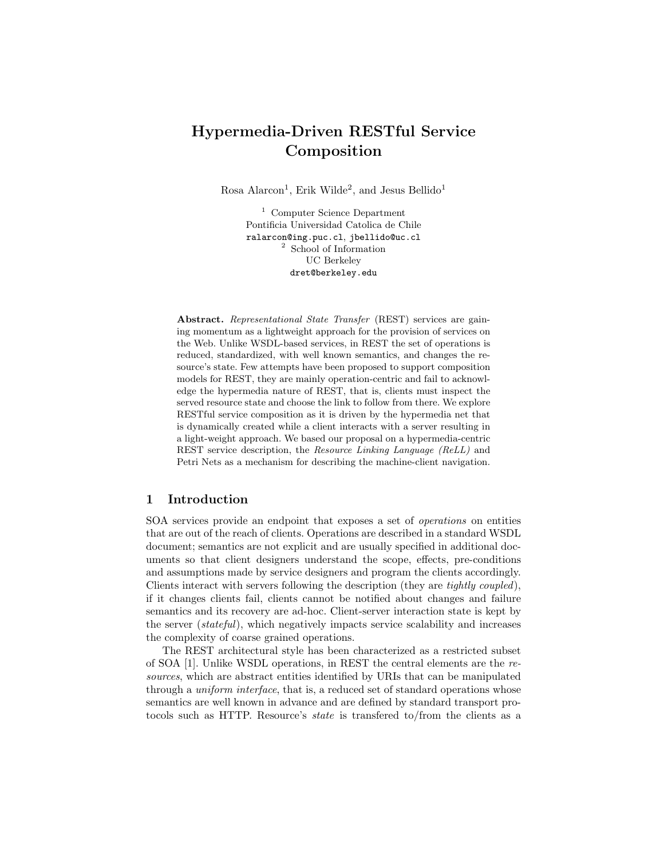# Hypermedia-Driven RESTful Service Composition

Rosa Alarcon<sup>1</sup>, Erik Wilde<sup>2</sup>, and Jesus Bellido<sup>1</sup>

<sup>1</sup> Computer Science Department Pontificia Universidad Catolica de Chile ralarcon@ing.puc.cl, jbellido@uc.cl <sup>2</sup> School of Information UC Berkeley dret@berkeley.edu

Abstract. Representational State Transfer (REST) services are gaining momentum as a lightweight approach for the provision of services on the Web. Unlike WSDL-based services, in REST the set of operations is reduced, standardized, with well known semantics, and changes the resource's state. Few attempts have been proposed to support composition models for REST, they are mainly operation-centric and fail to acknowledge the hypermedia nature of REST, that is, clients must inspect the served resource state and choose the link to follow from there. We explore RESTful service composition as it is driven by the hypermedia net that is dynamically created while a client interacts with a server resulting in a light-weight approach. We based our proposal on a hypermedia-centric REST service description, the Resource Linking Language (ReLL) and Petri Nets as a mechanism for describing the machine-client navigation.

## 1 Introduction

SOA services provide an endpoint that exposes a set of operations on entities that are out of the reach of clients. Operations are described in a standard WSDL document; semantics are not explicit and are usually specified in additional documents so that client designers understand the scope, effects, pre-conditions and assumptions made by service designers and program the clients accordingly. Clients interact with servers following the description (they are tightly coupled), if it changes clients fail, clients cannot be notified about changes and failure semantics and its recovery are ad-hoc. Client-server interaction state is kept by the server (stateful), which negatively impacts service scalability and increases the complexity of coarse grained operations.

The REST architectural style has been characterized as a restricted subset of SOA [\[1\]](#page-9-0). Unlike WSDL operations, in REST the central elements are the resources, which are abstract entities identified by URIs that can be manipulated through a uniform interface, that is, a reduced set of standard operations whose semantics are well known in advance and are defined by standard transport protocols such as HTTP. Resource's state is transfered to/from the clients as a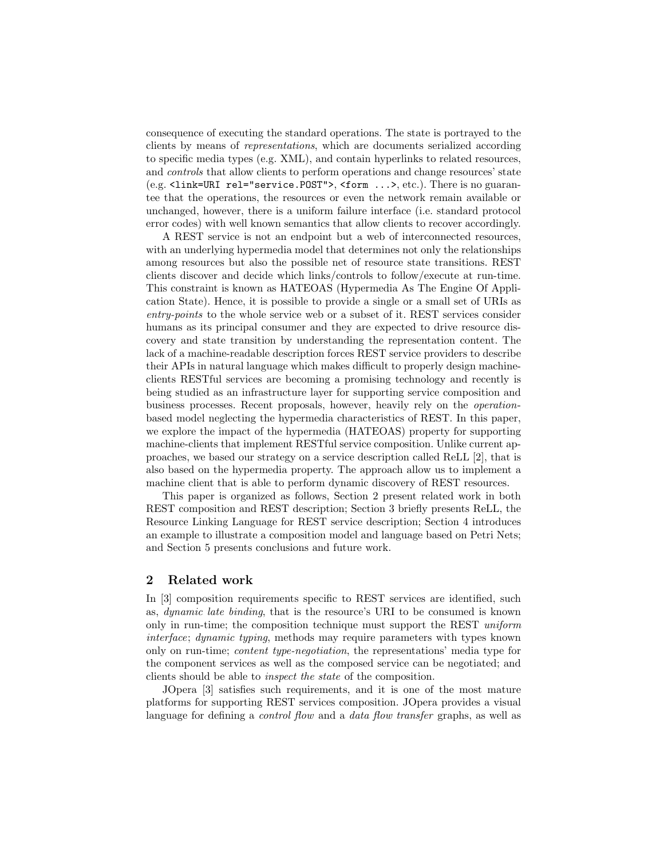consequence of executing the standard operations. The state is portrayed to the clients by means of representations, which are documents serialized according to specific media types (e.g. XML), and contain hyperlinks to related resources, and controls that allow clients to perform operations and change resources' state (e.g. <link=URI rel="service.POST">, <form ...>, etc.). There is no guarantee that the operations, the resources or even the network remain available or unchanged, however, there is a uniform failure interface (i.e. standard protocol error codes) with well known semantics that allow clients to recover accordingly.

A REST service is not an endpoint but a web of interconnected resources, with an underlying hypermedia model that determines not only the relationships among resources but also the possible net of resource state transitions. REST clients discover and decide which links/controls to follow/execute at run-time. This constraint is known as HATEOAS (Hypermedia As The Engine Of Application State). Hence, it is possible to provide a single or a small set of URIs as entry-points to the whole service web or a subset of it. REST services consider humans as its principal consumer and they are expected to drive resource discovery and state transition by understanding the representation content. The lack of a machine-readable description forces REST service providers to describe their APIs in natural language which makes difficult to properly design machineclients RESTful services are becoming a promising technology and recently is being studied as an infrastructure layer for supporting service composition and business processes. Recent proposals, however, heavily rely on the operationbased model neglecting the hypermedia characteristics of REST. In this paper, we explore the impact of the hypermedia (HATEOAS) property for supporting machine-clients that implement RESTful service composition. Unlike current approaches, we based our strategy on a service description called ReLL [\[2\]](#page-9-0), that is also based on the hypermedia property. The approach allow us to implement a machine client that is able to perform dynamic discovery of REST resources.

This paper is organized as follows, Section 2 present related work in both REST composition and REST description; Section [3](#page-3-0) briefly presents ReLL, the Resource Linking Language for REST service description; Section [4](#page-4-0) introduces an example to illustrate a composition model and language based on Petri Nets; and Section [5](#page-9-0) presents conclusions and future work.

# 2 Related work

In [\[3\]](#page-9-0) composition requirements specific to REST services are identified, such as, dynamic late binding, that is the resource's URI to be consumed is known only in run-time; the composition technique must support the REST uniform interface; dynamic typing, methods may require parameters with types known only on run-time; content type-negotiation, the representations' media type for the component services as well as the composed service can be negotiated; and clients should be able to inspect the state of the composition.

JOpera [\[3\]](#page-9-0) satisfies such requirements, and it is one of the most mature platforms for supporting REST services composition. JOpera provides a visual language for defining a *control flow* and a *data flow transfer* graphs, as well as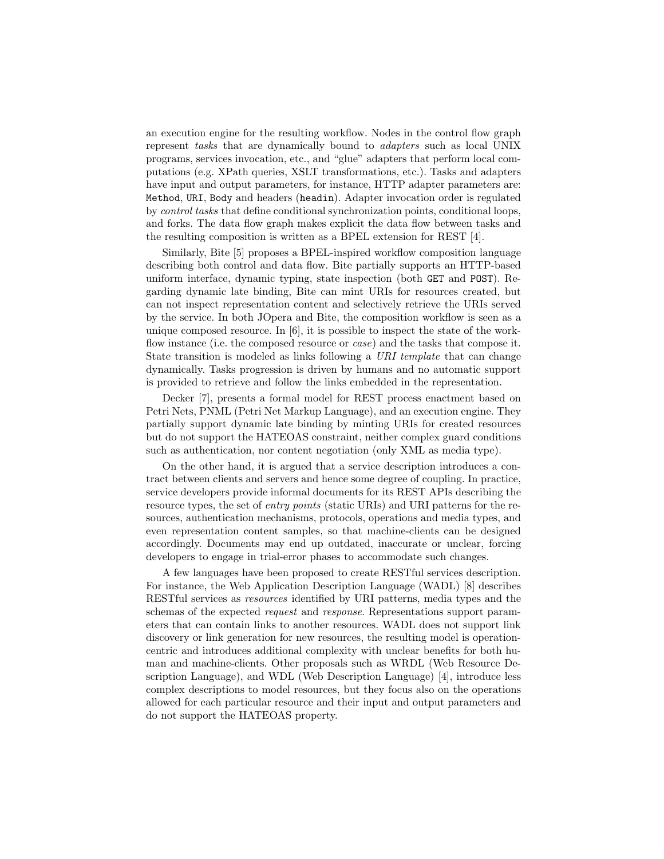an execution engine for the resulting workflow. Nodes in the control flow graph represent tasks that are dynamically bound to adapters such as local UNIX programs, services invocation, etc., and "glue" adapters that perform local computations (e.g. XPath queries, XSLT transformations, etc.). Tasks and adapters have input and output parameters, for instance, HTTP adapter parameters are: Method, URI, Body and headers (headin). Adapter invocation order is regulated by control tasks that define conditional synchronization points, conditional loops, and forks. The data flow graph makes explicit the data flow between tasks and the resulting composition is written as a BPEL extension for REST [\[4\]](#page-9-0).

Similarly, Bite [\[5\]](#page-9-0) proposes a BPEL-inspired workflow composition language describing both control and data flow. Bite partially supports an HTTP-based uniform interface, dynamic typing, state inspection (both GET and POST). Regarding dynamic late binding, Bite can mint URIs for resources created, but can not inspect representation content and selectively retrieve the URIs served by the service. In both JOpera and Bite, the composition workflow is seen as a unique composed resource. In  $[6]$ , it is possible to inspect the state of the workflow instance (i.e. the composed resource or case) and the tasks that compose it. State transition is modeled as links following a URI template that can change dynamically. Tasks progression is driven by humans and no automatic support is provided to retrieve and follow the links embedded in the representation.

Decker [\[7\]](#page-9-0), presents a formal model for REST process enactment based on Petri Nets, PNML (Petri Net Markup Language), and an execution engine. They partially support dynamic late binding by minting URIs for created resources but do not support the HATEOAS constraint, neither complex guard conditions such as authentication, nor content negotiation (only XML as media type).

On the other hand, it is argued that a service description introduces a contract between clients and servers and hence some degree of coupling. In practice, service developers provide informal documents for its REST APIs describing the resource types, the set of *entry points* (static URIs) and URI patterns for the resources, authentication mechanisms, protocols, operations and media types, and even representation content samples, so that machine-clients can be designed accordingly. Documents may end up outdated, inaccurate or unclear, forcing developers to engage in trial-error phases to accommodate such changes.

A few languages have been proposed to create RESTful services description. For instance, the Web Application Description Language (WADL) [\[8\]](#page-9-0) describes RESTful services as resources identified by URI patterns, media types and the schemas of the expected request and response. Representations support parameters that can contain links to another resources. WADL does not support link discovery or link generation for new resources, the resulting model is operationcentric and introduces additional complexity with unclear benefits for both human and machine-clients. Other proposals such as WRDL (Web Resource Description Language), and WDL (Web Description Language) [\[4\]](#page-9-0), introduce less complex descriptions to model resources, but they focus also on the operations allowed for each particular resource and their input and output parameters and do not support the HATEOAS property.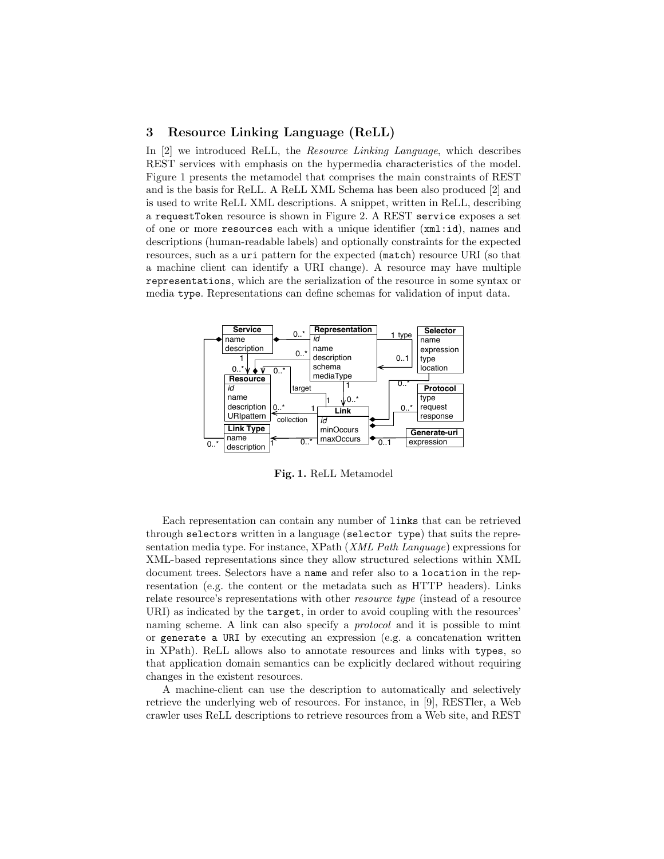## <span id="page-3-0"></span>3 Resource Linking Language (ReLL)

In [\[2\]](#page-9-0) we introduced ReLL, the *Resource Linking Language*, which describes REST services with emphasis on the hypermedia characteristics of the model. Figure 1 presents the metamodel that comprises the main constraints of REST and is the basis for ReLL. A ReLL XML Schema has been also produced [\[2\]](#page-9-0) and is used to write ReLL XML descriptions. A snippet, written in ReLL, describing a requestToken resource is shown in Figure [2.](#page-4-0) A REST service exposes a set of one or more resources each with a unique identifier (xml:id), names and descriptions (human-readable labels) and optionally constraints for the expected resources, such as a uri pattern for the expected (match) resource URI (so that a machine client can identify a URI change). A resource may have multiple representations, which are the serialization of the resource in some syntax or media type. Representations can define schemas for validation of input data.



Fig. 1. ReLL Metamodel

Each representation can contain any number of links that can be retrieved through selectors written in a language (selector type) that suits the representation media type. For instance, XPath (XML Path Language) expressions for XML-based representations since they allow structured selections within XML document trees. Selectors have a name and refer also to a location in the representation (e.g. the content or the metadata such as HTTP headers). Links relate resource's representations with other resource type (instead of a resource URI) as indicated by the target, in order to avoid coupling with the resources' naming scheme. A link can also specify a protocol and it is possible to mint or generate a URI by executing an expression (e.g. a concatenation written in XPath). ReLL allows also to annotate resources and links with types, so that application domain semantics can be explicitly declared without requiring changes in the existent resources.

A machine-client can use the description to automatically and selectively retrieve the underlying web of resources. For instance, in [\[9\]](#page-9-0), RESTler, a Web crawler uses ReLL descriptions to retrieve resources from a Web site, and REST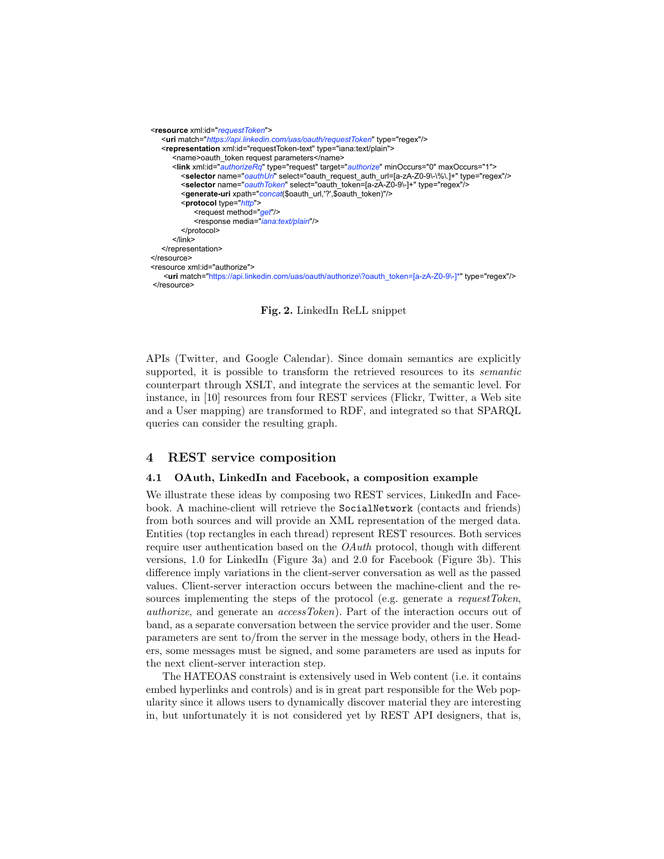```
<resource xml:id="requestToken">
    <uri match="https://api.linkedin.com/uas/oauth/requestToken" type="regex"/>
   <representation xml:id="requestToken-text" type="iana:text/plain">
      <name>oauth_token request parameters</name>
       <link xml:id="authorizeRq" type="request" target="authorize" minOccurs="0" maxOccurs="1">
         <selector name="oauthUri" select="oauth_request_auth_url=[a-zA-Z0-9\-\%\.]+" type="regex"/>
         <selector name="oauthToken" select="oauth_token=[a-zA-Z0-9\-]+" type="regex"/>
         <generate-uri xpath="concat($oauth_url,'?',$oauth_token)"/>
          <protocol type="http">
             <request method="get"/>
             <response media="iana:text/plain"/>
         </protocol>
       </link>
    </representation>
</resource>
<resource xml:id="authorize">
   <uri match="https://api.linkedin.com/uas/oauth/authorize\?oauth_token=[a-zA-Z0-9\-]*" type="regex"/>
 </resource>
```


APIs (Twitter, and Google Calendar). Since domain semantics are explicitly supported, it is possible to transform the retrieved resources to its *semantic* counterpart through XSLT, and integrate the services at the semantic level. For instance, in [\[10\]](#page-9-0) resources from four REST services (Flickr, Twitter, a Web site and a User mapping) are transformed to RDF, and integrated so that SPARQL queries can consider the resulting graph.

## 4 REST service composition

#### 4.1 OAuth, LinkedIn and Facebook, a composition example

We illustrate these ideas by composing two REST services, LinkedIn and Facebook. A machine-client will retrieve the SocialNetwork (contacts and friends) from both sources and will provide an XML representation of the merged data. Entities (top rectangles in each thread) represent REST resources. Both services require user authentication based on the OAuth protocol, though with different versions, 1.0 for LinkedIn (Figure [3a](#page-5-0)) and 2.0 for Facebook (Figure [3b](#page-5-0)). This difference imply variations in the client-server conversation as well as the passed values. Client-server interaction occurs between the machine-client and the resources implementing the steps of the protocol (e.g. generate a request Token, authorize, and generate an accessToken). Part of the interaction occurs out of band, as a separate conversation between the service provider and the user. Some parameters are sent to/from the server in the message body, others in the Headers, some messages must be signed, and some parameters are used as inputs for the next client-server interaction step.

The HATEOAS constraint is extensively used in Web content (i.e. it contains embed hyperlinks and controls) and is in great part responsible for the Web popularity since it allows users to dynamically discover material they are interesting in, but unfortunately it is not considered yet by REST API designers, that is,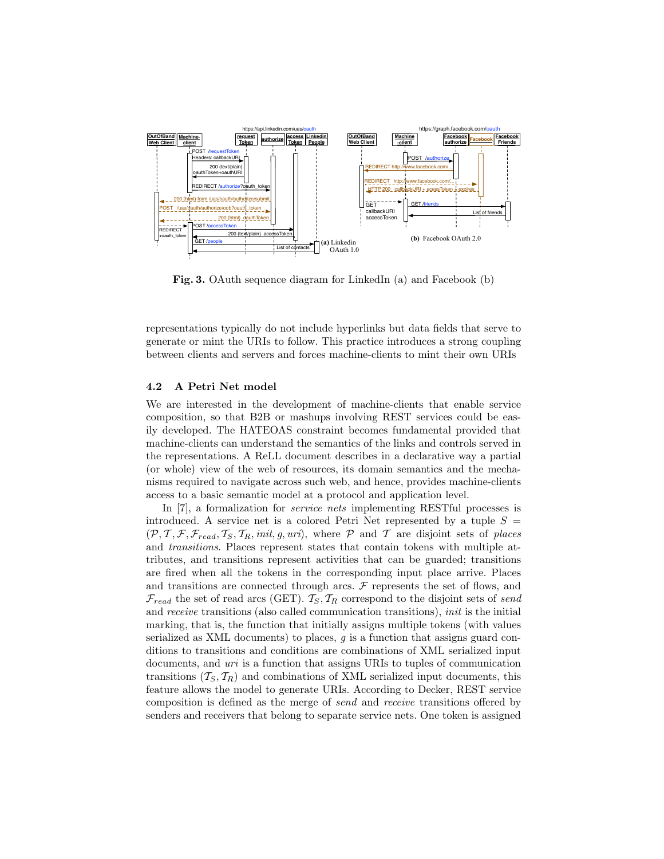<span id="page-5-0"></span>

Fig. 3. OAuth sequence diagram for LinkedIn (a) and Facebook (b)

representations typically do not include hyperlinks but data fields that serve to generate or mint the URIs to follow. This practice introduces a strong coupling between clients and servers and forces machine-clients to mint their own URIs

### 4.2 A Petri Net model

We are interested in the development of machine-clients that enable service composition, so that B2B or mashups involving REST services could be easily developed. The HATEOAS constraint becomes fundamental provided that machine-clients can understand the semantics of the links and controls served in the representations. A ReLL document describes in a declarative way a partial (or whole) view of the web of resources, its domain semantics and the mechanisms required to navigate across such web, and hence, provides machine-clients access to a basic semantic model at a protocol and application level.

In [\[7\]](#page-9-0), a formalization for service nets implementing RESTful processes is introduced. A service net is a colored Petri Net represented by a tuple  $S =$  $(\mathcal{P}, \mathcal{T}, \mathcal{F}, \mathcal{F}_{read}, T_S, T_R, init, g, uri)$ , where  $\mathcal{P}$  and  $\mathcal{T}$  are disjoint sets of places and transitions. Places represent states that contain tokens with multiple attributes, and transitions represent activities that can be guarded; transitions are fired when all the tokens in the corresponding input place arrive. Places and transitions are connected through arcs.  $\mathcal F$  represents the set of flows, and  $\mathcal{F}_{read}$  the set of read arcs (GET).  $\mathcal{T}_{S}, \mathcal{T}_{R}$  correspond to the disjoint sets of send and receive transitions (also called communication transitions), init is the initial marking, that is, the function that initially assigns multiple tokens (with values serialized as XML documents) to places,  $q$  is a function that assigns guard conditions to transitions and conditions are combinations of XML serialized input documents, and uri is a function that assigns URIs to tuples of communication transitions  $(T_S, T_R)$  and combinations of XML serialized input documents, this feature allows the model to generate URIs. According to Decker, REST service composition is defined as the merge of send and receive transitions offered by senders and receivers that belong to separate service nets. One token is assigned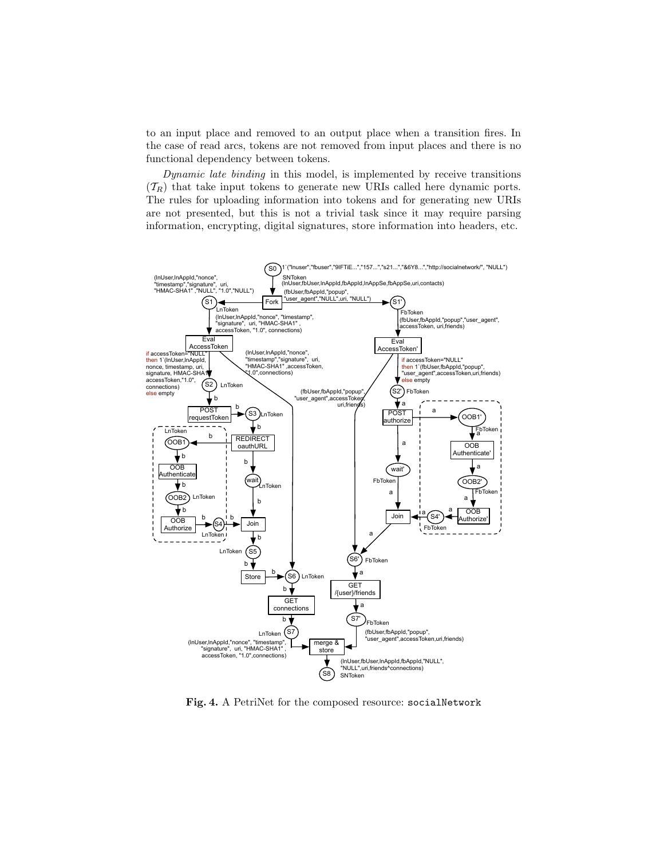<span id="page-6-0"></span>to an input place and removed to an output place when a transition fires. In the case of read arcs, tokens are not removed from input places and there is no functional dependency between tokens.

Dynamic late binding in this model, is implemented by receive transitions  $(\mathcal{T}_R)$  that take input tokens to generate new URIs called here dynamic ports. The rules for uploading information into tokens and for generating new URIs are not presented, but this is not a trivial task since it may require parsing information, encrypting, digital signatures, store information into headers, etc.



Fig. 4. A PetriNet for the composed resource: socialNetwork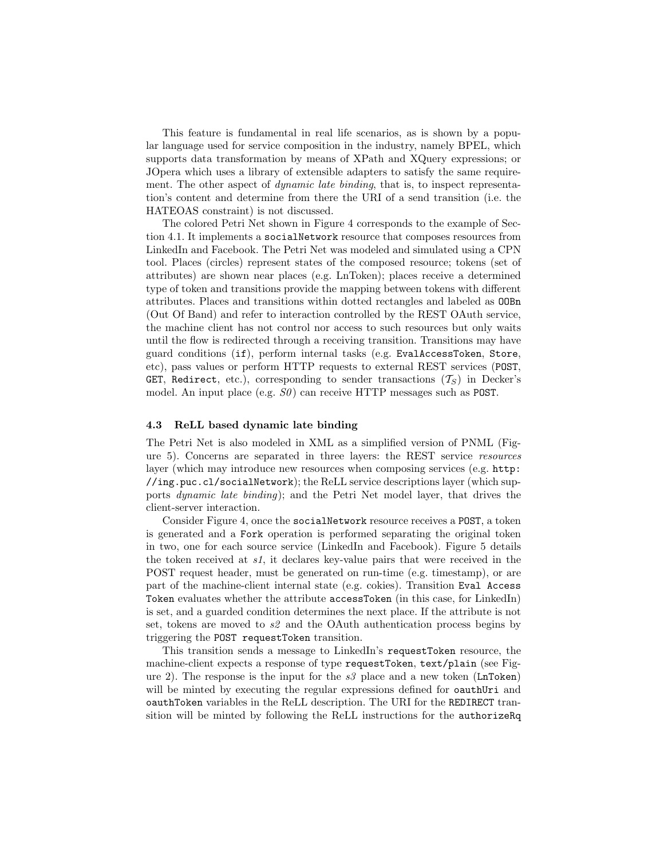This feature is fundamental in real life scenarios, as is shown by a popular language used for service composition in the industry, namely BPEL, which supports data transformation by means of XPath and XQuery expressions; or JOpera which uses a library of extensible adapters to satisfy the same requirement. The other aspect of *dynamic late binding*, that is, to inspect representation's content and determine from there the URI of a send transition (i.e. the HATEOAS constraint) is not discussed.

The colored Petri Net shown in Figure [4](#page-6-0) corresponds to the example of Section [4.1.](#page-4-0) It implements a socialNetwork resource that composes resources from LinkedIn and Facebook. The Petri Net was modeled and simulated using a CPN tool. Places (circles) represent states of the composed resource; tokens (set of attributes) are shown near places (e.g. LnToken); places receive a determined type of token and transitions provide the mapping between tokens with different attributes. Places and transitions within dotted rectangles and labeled as OOBn (Out Of Band) and refer to interaction controlled by the REST OAuth service, the machine client has not control nor access to such resources but only waits until the flow is redirected through a receiving transition. Transitions may have guard conditions (if), perform internal tasks (e.g. EvalAccessToken, Store, etc), pass values or perform HTTP requests to external REST services (POST, GET, Redirect, etc.), corresponding to sender transactions  $(\mathcal{T}_S)$  in Decker's model. An input place (e.g.  $SO$ ) can receive HTTP messages such as POST.

## 4.3 ReLL based dynamic late binding

The Petri Net is also modeled in XML as a simplified version of PNML (Figure [5\)](#page-8-0). Concerns are separated in three layers: the REST service resources layer (which may introduce new resources when composing services (e.g. [http:](http://ing.puc.cl/socialNetwork) [//ing.puc.cl/socialNetwork](http://ing.puc.cl/socialNetwork)); the ReLL service descriptions layer (which supports dynamic late binding); and the Petri Net model layer, that drives the client-server interaction.

Consider Figure [4,](#page-6-0) once the socialNetwork resource receives a POST, a token is generated and a Fork operation is performed separating the original token in two, one for each source service (LinkedIn and Facebook). Figure [5](#page-8-0) details the token received at s1, it declares key-value pairs that were received in the POST request header, must be generated on run-time (e.g. timestamp), or are part of the machine-client internal state (e.g. cokies). Transition Eval Access Token evaluates whether the attribute accessToken (in this case, for LinkedIn) is set, and a guarded condition determines the next place. If the attribute is not set, tokens are moved to  $s\mathcal{Q}$  and the OAuth authentication process begins by triggering the POST requestToken transition.

This transition sends a message to LinkedIn's requestToken resource, the machine-client expects a response of type requestToken, text/plain (see Fig-ure [2\)](#page-4-0). The response is the input for the  $s3$  place and a new token (LnToken) will be minted by executing the regular expressions defined for **oauthUri** and oauthToken variables in the ReLL description. The URI for the REDIRECT transition will be minted by following the ReLL instructions for the authorizeRq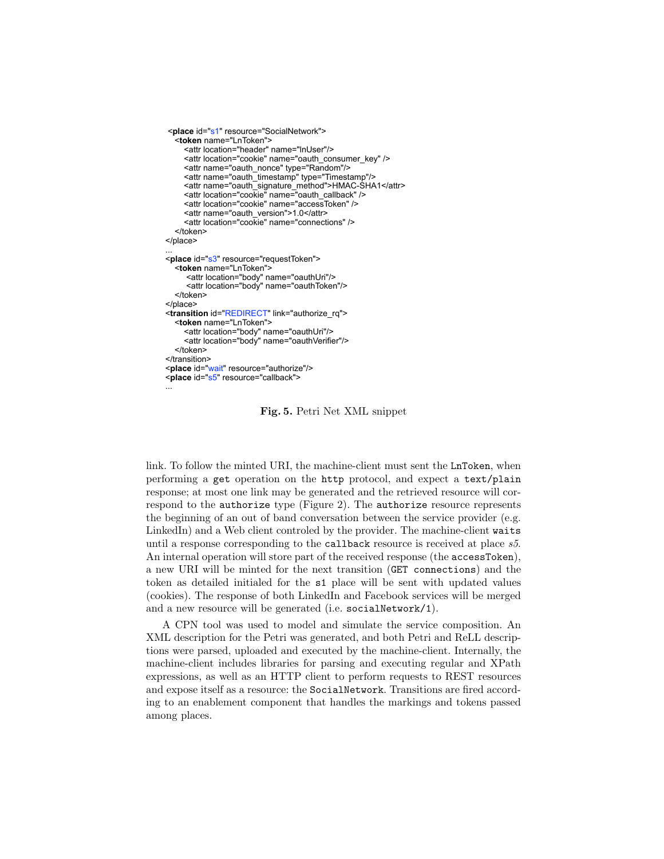```
 <place id="s1" resource="SocialNetwork">
        <token name="LnToken">
          <attr location="header" name="lnUser"/>
          <attr location="cookie" name="oauth_consumer_key" />
          <attr name="oauth_nonce" type="Random"/>
          <attr name="oauth_timestamp" type="Timestamp"/>
          <attr name="oauth_signature_method">HMAC-SHA1</attr>
         <attr location="cookie" name="oauth_callback" />
          <attr location="cookie" name="accessToken" />
         <attr name="oauth_version">1.0</attr>
          <attr location="cookie" name="connections" />
       </token>
     </place>
 ...
     <place id="s3" resource="requestToken">
        <token name="LnToken">
          <attr location="body" name="oauthUri"/>
          <attr location="body" name="oauthToken"/>
        </token>
     </place>
     <transition id="REDIRECT" link="authorize_rq">
        <token name="LnToken">
 <attr location="body" name="oauthUri"/>
 <attr location="body" name="oauthVerifier"/>
        </token>
     </transition>
     <place id="wait" resource="authorize"/>
     <place id="s5" resource="callback">
 ...
```
Fig. 5. Petri Net XML snippet

link. To follow the minted URI, the machine-client must sent the LnToken, when performing a get operation on the http protocol, and expect a text/plain response; at most one link may be generated and the retrieved resource will correspond to the authorize type (Figure [2\)](#page-4-0). The authorize resource represents the beginning of an out of band conversation between the service provider (e.g. LinkedIn) and a Web client controled by the provider. The machine-client waits until a response corresponding to the callback resource is received at place s5. An internal operation will store part of the received response (the accessToken), a new URI will be minted for the next transition (GET connections) and the token as detailed initialed for the s1 place will be sent with updated values (cookies). The response of both LinkedIn and Facebook services will be merged and a new resource will be generated (i.e. socialNetwork/1).

A CPN tool was used to model and simulate the service composition. An XML description for the Petri was generated, and both Petri and ReLL descriptions were parsed, uploaded and executed by the machine-client. Internally, the machine-client includes libraries for parsing and executing regular and XPath expressions, as well as an HTTP client to perform requests to REST resources and expose itself as a resource: the SocialNetwork. Transitions are fired according to an enablement component that handles the markings and tokens passed among places.